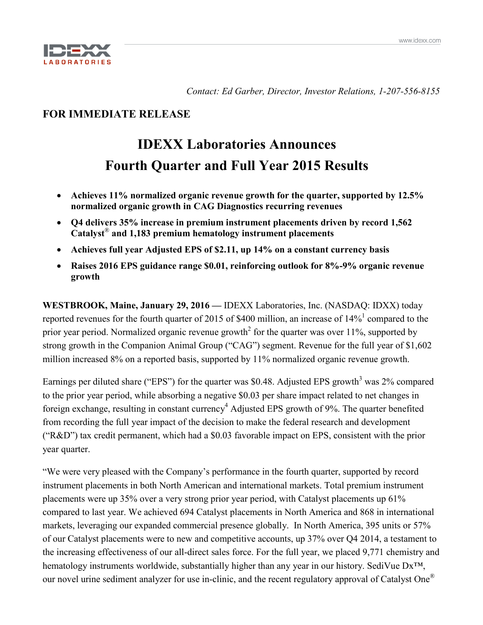

*Contact: Ed Garber, Director, Investor Relations, 1-207-556-8155*

# **FOR IMMEDIATE RELEASE**

# **IDEXX Laboratories Announces Fourth Quarter and Full Year 2015 Results**

- **Achieves 11% normalized organic revenue growth for the quarter, supported by 12.5% normalized organic growth in CAG Diagnostics recurring revenues**
- **Q4 delivers 35% increase in premium instrument placements driven by record 1,562 Catalyst**® **and 1,183 premium hematology instrument placements**
- **Achieves full year Adjusted EPS of \$2.11, up 14% on a constant currency basis**
- **Raises 2016 EPS guidance range \$0.01, reinforcing outlook for 8%-9% organic revenue growth**

**WESTBROOK, Maine, January 29, 2016 —** IDEXX Laboratories, Inc. (NASDAQ: IDXX) today reported revenues for the fourth quarter of 2015 of \$400 million, an increase of  $14\%$ <sup>1</sup> compared to the prior year period. Normalized organic revenue growth<sup>2</sup> for the quarter was over  $11\%$ , supported by strong growth in the Companion Animal Group ("CAG") segment. Revenue for the full year of \$1,602 million increased 8% on a reported basis, supported by 11% normalized organic revenue growth.

Earnings per diluted share ("EPS") for the quarter was \$0.48. Adjusted EPS growth<sup>3</sup> was 2% compared to the prior year period, while absorbing a negative \$0.03 per share impact related to net changes in foreign exchange, resulting in constant currency<sup>4</sup> Adjusted EPS growth of 9%. The quarter benefited from recording the full year impact of the decision to make the federal research and development ("R&D") tax credit permanent, which had a \$0.03 favorable impact on EPS, consistent with the prior year quarter.

"We were very pleased with the Company's performance in the fourth quarter, supported by record instrument placements in both North American and international markets. Total premium instrument placements were up 35% over a very strong prior year period, with Catalyst placements up 61% compared to last year. We achieved 694 Catalyst placements in North America and 868 in international markets, leveraging our expanded commercial presence globally. In North America, 395 units or 57% of our Catalyst placements were to new and competitive accounts, up 37% over Q4 2014, a testament to the increasing effectiveness of our all-direct sales force. For the full year, we placed 9,771 chemistry and hematology instruments worldwide, substantially higher than any year in our history. SediVue Dx<sup>™</sup>, our novel urine sediment analyzer for use in-clinic, and the recent regulatory approval of Catalyst One®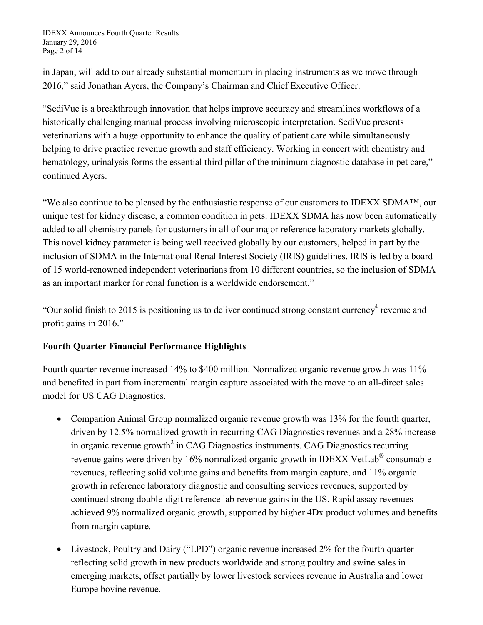IDEXX Announces Fourth Quarter Results January 29, 2016 Page 2 of 14

in Japan, will add to our already substantial momentum in placing instruments as we move through 2016," said Jonathan Ayers, the Company's Chairman and Chief Executive Officer.

"SediVue is a breakthrough innovation that helps improve accuracy and streamlines workflows of a historically challenging manual process involving microscopic interpretation. SediVue presents veterinarians with a huge opportunity to enhance the quality of patient care while simultaneously helping to drive practice revenue growth and staff efficiency. Working in concert with chemistry and hematology, urinalysis forms the essential third pillar of the minimum diagnostic database in pet care," continued Ayers.

"We also continue to be pleased by the enthusiastic response of our customers to IDEXX SDMA™, our unique test for kidney disease, a common condition in pets. IDEXX SDMA has now been automatically added to all chemistry panels for customers in all of our major reference laboratory markets globally. This novel kidney parameter is being well received globally by our customers, helped in part by the inclusion of SDMA in the International Renal Interest Society (IRIS) guidelines. IRIS is led by a board of 15 world-renowned independent veterinarians from 10 different countries, so the inclusion of SDMA as an important marker for renal function is a worldwide endorsement."

"Our solid finish to 2015 is positioning us to deliver continued strong constant currency revenue and profit gains in 2016."

# **Fourth Quarter Financial Performance Highlights**

Fourth quarter revenue increased 14% to \$400 million. Normalized organic revenue growth was 11% and benefited in part from incremental margin capture associated with the move to an all-direct sales model for US CAG Diagnostics.

- Companion Animal Group normalized organic revenue growth was 13% for the fourth quarter, driven by 12.5% normalized growth in recurring CAG Diagnostics revenues and a 28% increase in organic revenue growth<sup>2</sup> in CAG Diagnostics instruments. CAG Diagnostics recurring revenue gains were driven by 16% normalized organic growth in IDEXX VetLab® consumable revenues, reflecting solid volume gains and benefits from margin capture, and 11% organic growth in reference laboratory diagnostic and consulting services revenues, supported by continued strong double-digit reference lab revenue gains in the US. Rapid assay revenues achieved 9% normalized organic growth, supported by higher 4Dx product volumes and benefits from margin capture.
- Livestock, Poultry and Dairy ("LPD") organic revenue increased 2% for the fourth quarter reflecting solid growth in new products worldwide and strong poultry and swine sales in emerging markets, offset partially by lower livestock services revenue in Australia and lower Europe bovine revenue.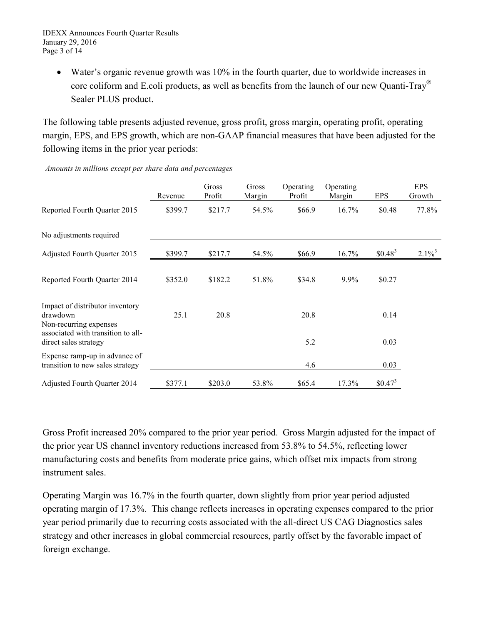• Water's organic revenue growth was 10% in the fourth quarter, due to worldwide increases in core coliform and E.coli products, as well as benefits from the launch of our new Quanti-Tray® Sealer PLUS product.

The following table presents adjusted revenue, gross profit, gross margin, operating profit, operating margin, EPS, and EPS growth, which are non-GAAP financial measures that have been adjusted for the following items in the prior year periods:

|                                                                       | Revenue | Gross<br>Profit | Gross<br>Margin | Operating<br>Profit | Operating<br>Margin | <b>EPS</b> | <b>EPS</b><br>Growth |
|-----------------------------------------------------------------------|---------|-----------------|-----------------|---------------------|---------------------|------------|----------------------|
| Reported Fourth Quarter 2015                                          | \$399.7 | \$217.7         | 54.5%           | \$66.9              | 16.7%               | \$0.48     | 77.8%                |
| No adjustments required                                               |         |                 |                 |                     |                     |            |                      |
| Adjusted Fourth Quarter 2015                                          | \$399.7 | \$217.7         | 54.5%           | \$66.9              | 16.7%               | $$0.48^3$  | $2.1\%$ <sup>3</sup> |
| Reported Fourth Quarter 2014                                          | \$352.0 | \$182.2         | 51.8%           | \$34.8              | 9.9%                | \$0.27     |                      |
| Impact of distributor inventory<br>drawdown<br>Non-recurring expenses | 25.1    | 20.8            |                 | 20.8                |                     | 0.14       |                      |
| associated with transition to all-<br>direct sales strategy           |         |                 |                 | 5.2                 |                     | 0.03       |                      |
| Expense ramp-up in advance of<br>transition to new sales strategy     |         |                 |                 | 4.6                 |                     | 0.03       |                      |
| <b>Adjusted Fourth Quarter 2014</b>                                   | \$377.1 | \$203.0         | 53.8%           | \$65.4              | 17.3%               | $$0.47^3$  |                      |

*Amounts in millions except per share data and percentages*

Gross Profit increased 20% compared to the prior year period. Gross Margin adjusted for the impact of the prior year US channel inventory reductions increased from 53.8% to 54.5%, reflecting lower manufacturing costs and benefits from moderate price gains, which offset mix impacts from strong instrument sales.

Operating Margin was 16.7% in the fourth quarter, down slightly from prior year period adjusted operating margin of 17.3%. This change reflects increases in operating expenses compared to the prior year period primarily due to recurring costs associated with the all-direct US CAG Diagnostics sales strategy and other increases in global commercial resources, partly offset by the favorable impact of foreign exchange.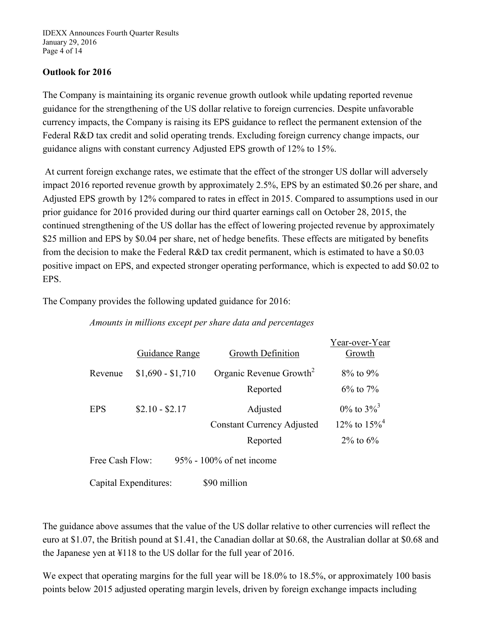IDEXX Announces Fourth Quarter Results January 29, 2016 Page 4 of 14

# **Outlook for 2016**

The Company is maintaining its organic revenue growth outlook while updating reported revenue guidance for the strengthening of the US dollar relative to foreign currencies. Despite unfavorable currency impacts, the Company is raising its EPS guidance to reflect the permanent extension of the Federal R&D tax credit and solid operating trends. Excluding foreign currency change impacts, our guidance aligns with constant currency Adjusted EPS growth of 12% to 15%.

At current foreign exchange rates, we estimate that the effect of the stronger US dollar will adversely impact 2016 reported revenue growth by approximately 2.5%, EPS by an estimated \$0.26 per share, and Adjusted EPS growth by 12% compared to rates in effect in 2015. Compared to assumptions used in our prior guidance for 2016 provided during our third quarter earnings call on October 28, 2015, the continued strengthening of the US dollar has the effect of lowering projected revenue by approximately \$25 million and EPS by \$0.04 per share, net of hedge benefits. These effects are mitigated by benefits from the decision to make the Federal R&D tax credit permanent, which is estimated to have a \$0.03 positive impact on EPS, and expected stronger operating performance, which is expected to add \$0.02 to EPS.

The Company provides the following updated guidance for 2016:

## *Amounts in millions except per share data and percentages*

|                                                | Guidance Range        | Growth Definition                   | Year-over-Year<br>Growth      |  |  |  |  |  |  |
|------------------------------------------------|-----------------------|-------------------------------------|-------------------------------|--|--|--|--|--|--|
| Revenue                                        | $$1,690 - $1,710$     | Organic Revenue Growth <sup>2</sup> | $8\%$ to $9\%$                |  |  |  |  |  |  |
|                                                |                       | Reported                            | $6\%$ to 7%                   |  |  |  |  |  |  |
| <b>EPS</b>                                     | $$2.10 - $2.17$       | Adjusted                            | $0\%$ to $3\%$ <sup>3</sup>   |  |  |  |  |  |  |
|                                                |                       | <b>Constant Currency Adjusted</b>   | $12\%$ to $15\%$ <sup>4</sup> |  |  |  |  |  |  |
|                                                |                       | Reported                            | $2\%$ to 6%                   |  |  |  |  |  |  |
| $95\%$ - 100% of net income<br>Free Cash Flow: |                       |                                     |                               |  |  |  |  |  |  |
|                                                | Capital Expenditures: | \$90 million                        |                               |  |  |  |  |  |  |

The guidance above assumes that the value of the US dollar relative to other currencies will reflect the euro at \$1.07, the British pound at \$1.41, the Canadian dollar at \$0.68, the Australian dollar at \$0.68 and the Japanese yen at ¥118 to the US dollar for the full year of 2016.

We expect that operating margins for the full year will be  $18.0\%$  to  $18.5\%$ , or approximately 100 basis points below 2015 adjusted operating margin levels, driven by foreign exchange impacts including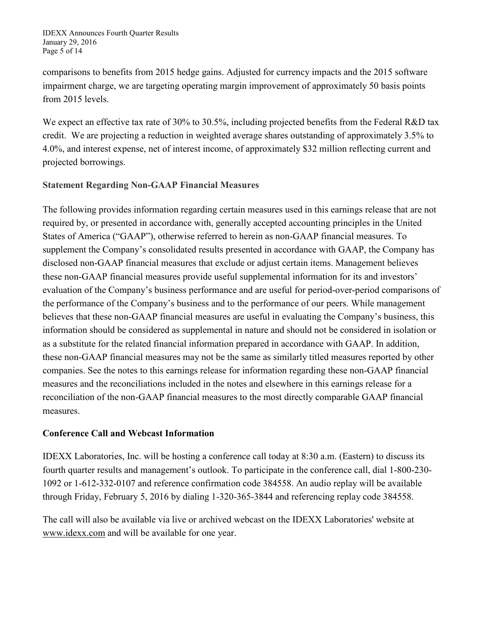IDEXX Announces Fourth Quarter Results January 29, 2016 Page 5 of 14

comparisons to benefits from 2015 hedge gains. Adjusted for currency impacts and the 2015 software impairment charge, we are targeting operating margin improvement of approximately 50 basis points from 2015 levels.

We expect an effective tax rate of 30% to 30.5%, including projected benefits from the Federal R&D tax credit. We are projecting a reduction in weighted average shares outstanding of approximately 3.5% to 4.0%, and interest expense, net of interest income, of approximately \$32 million reflecting current and projected borrowings.

# **Statement Regarding Non-GAAP Financial Measures**

The following provides information regarding certain measures used in this earnings release that are not required by, or presented in accordance with, generally accepted accounting principles in the United States of America ("GAAP"), otherwise referred to herein as non-GAAP financial measures. To supplement the Company's consolidated results presented in accordance with GAAP, the Company has disclosed non-GAAP financial measures that exclude or adjust certain items. Management believes these non-GAAP financial measures provide useful supplemental information for its and investors' evaluation of the Company's business performance and are useful for period-over-period comparisons of the performance of the Company's business and to the performance of our peers. While management believes that these non-GAAP financial measures are useful in evaluating the Company's business, this information should be considered as supplemental in nature and should not be considered in isolation or as a substitute for the related financial information prepared in accordance with GAAP. In addition, these non-GAAP financial measures may not be the same as similarly titled measures reported by other companies. See the notes to this earnings release for information regarding these non-GAAP financial measures and the reconciliations included in the notes and elsewhere in this earnings release for a reconciliation of the non-GAAP financial measures to the most directly comparable GAAP financial measures.

# **Conference Call and Webcast Information**

IDEXX Laboratories, Inc. will be hosting a conference call today at 8:30 a.m. (Eastern) to discuss its fourth quarter results and management's outlook. To participate in the conference call, dial 1-800-230- 1092 or 1-612-332-0107 and reference confirmation code 384558. An audio replay will be available through Friday, February 5, 2016 by dialing 1-320-365-3844 and referencing replay code 384558.

The call will also be available via live or archived webcast on the IDEXX Laboratories' website at www.idexx.com and will be available for one year.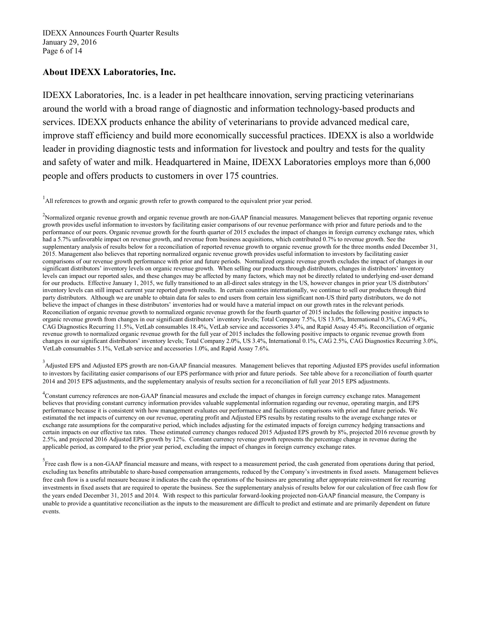## **About IDEXX Laboratories, Inc.**

IDEXX Laboratories, Inc. is a leader in pet healthcare innovation, serving practicing veterinarians around the world with a broad range of diagnostic and information technology-based products and services. IDEXX products enhance the ability of veterinarians to provide advanced medical care, improve staff efficiency and build more economically successful practices. IDEXX is also a worldwide leader in providing diagnostic tests and information for livestock and poultry and tests for the quality and safety of water and milk. Headquartered in Maine, IDEXX Laboratories employs more than 6,000 people and offers products to customers in over 175 countries.

<sup>1</sup>All references to growth and organic growth refer to growth compared to the equivalent prior year period.

<sup>2</sup>Normalized organic revenue growth and organic revenue growth are non-GAAP financial measures. Management believes that reporting organic revenue growth provides useful information to investors by facilitating easier comparisons of our revenue performance with prior and future periods and to the performance of our peers. Organic revenue growth for the fourth quarter of 2015 excludes the impact of changes in foreign currency exchange rates, which had a 5.7% unfavorable impact on revenue growth, and revenue from business acquisitions, which contributed 0.7% to revenue growth. See the supplementary analysis of results below for a reconciliation of reported revenue growth to organic revenue growth for the three months ended December 31, 2015. Management also believes that reporting normalized organic revenue growth provides useful information to investors by facilitating easier comparisons of our revenue growth performance with prior and future periods. Normalized organic revenue growth excludes the impact of changes in our significant distributors' inventory levels on organic revenue growth. When selling our products through distributors, changes in distributors' inventory levels can impact our reported sales, and these changes may be affected by many factors, which may not be directly related to underlying end-user demand for our products. Effective January 1, 2015, we fully transitioned to an all-direct sales strategy in the US, however changes in prior year US distributors' inventory levels can still impact current year reported growth results. In certain countries internationally, we continue to sell our products through third party distributors. Although we are unable to obtain data for sales to end users from certain less significant non-US third party distributors, we do not believe the impact of changes in these distributors' inventories had or would have a material impact on our growth rates in the relevant periods. Reconciliation of organic revenue growth to normalized organic revenue growth for the fourth quarter of 2015 includes the following positive impacts to organic revenue growth from changes in our significant distributors' inventory levels; Total Company 7.5%, US 13.0%, International 0.3%, CAG 9.4%, CAG Diagnostics Recurring 11.5%, VetLab consumables 18.4%, VetLab service and accessories 3.4%, and Rapid Assay 45.4%. Reconciliation of organic revenue growth to normalized organic revenue growth for the full year of 2015 includes the following positive impacts to organic revenue growth from changes in our significant distributors' inventory levels; Total Company 2.0%, US 3.4%, International 0.1%, CAG 2.5%, CAG Diagnostics Recurring 3.0%, VetLab consumables 5.1%, VetLab service and accessories 1.0%, and Rapid Assay 7.6%.

<sup>3</sup> Adjusted EPS and Adjusted EPS growth are non-GAAP financial measures. Management believes that reporting Adjusted EPS provides useful information to investors by facilitating easier comparisons of our EPS performance with prior and future periods. See table above for a reconciliation of fourth quarter 2014 and 2015 EPS adjustments, and the supplementary analysis of results section for a reconciliation of full year 2015 EPS adjustments.

4 Constant currency references are non-GAAP financial measures and exclude the impact of changes in foreign currency exchange rates. Management believes that providing constant currency information provides valuable supplemental information regarding our revenue, operating margin, and EPS performance because it is consistent with how management evaluates our performance and facilitates comparisons with prior and future periods. We estimated the net impacts of currency on our revenue, operating profit and Adjusted EPS results by restating results to the average exchange rates or exchange rate assumptions for the comparative period, which includes adjusting for the estimated impacts of foreign currency hedging transactions and certain impacts on our effective tax rates. These estimated currency changes reduced 2015 Adjusted EPS growth by 8%, projected 2016 revenue growth by 2.5%, and projected 2016 Adjusted EPS growth by 12%. Constant currency revenue growth represents the percentage change in revenue during the applicable period, as compared to the prior year period, excluding the impact of changes in foreign currency exchange rates.

<sup>5</sup><br>Free cash flow is a non-GAAP financial measure and means, with respect to a measurement period, the cash generated from operations during that period, excluding tax benefits attributable to share-based compensation arrangements, reduced by the Company's investments in fixed assets. Management believes free cash flow is a useful measure because it indicates the cash the operations of the business are generating after appropriate reinvestment for recurring investments in fixed assets that are required to operate the business. See the supplementary analysis of results below for our calculation of free cash flow for the years ended December 31, 2015 and 2014. With respect to this particular forward-looking projected non-GAAP financial measure, the Company is unable to provide a quantitative reconciliation as the inputs to the measurement are difficult to predict and estimate and are primarily dependent on future events.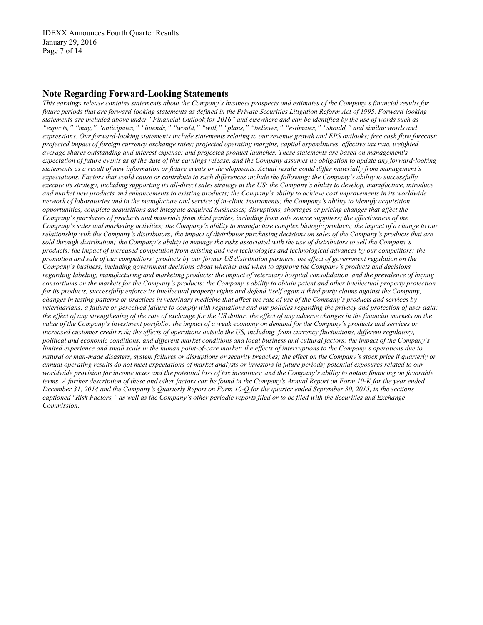### **Note Regarding Forward-Looking Statements**

*This earnings release contains statements about the Company's business prospects and estimates of the Company's financial results for future periods that are forward-looking statements as defined in the Private Securities Litigation Reform Act of 1995. Forward-looking statements are included above under "Financial Outlook for 2016" and elsewhere and can be identified by the use of words such as "expects," "may," "anticipates," "intends," "would," "will," "plans," "believes," "estimates," "should," and similar words and expressions. Our forward-looking statements include statements relating to our revenue growth and EPS outlooks; free cash flow forecast; projected impact of foreign currency exchange rates; projected operating margins, capital expenditures, effective tax rate, weighted average shares outstanding and interest expense; and projected product launches. These statements are based on management's expectation of future events as of the date of this earnings release, and the Company assumes no obligation to update any forward-looking statements as a result of new information or future events or developments. Actual results could differ materially from management's expectations. Factors that could cause or contribute to such differences include the following: the Company's ability to successfully execute its strategy, including supporting its all-direct sales strategy in the US; the Company's ability to develop, manufacture, introduce and market new products and enhancements to existing products; the Company's ability to achieve cost improvements in its worldwide network of laboratories and in the manufacture and service of in-clinic instruments; the Company's ability to identify acquisition opportunities, complete acquisitions and integrate acquired businesses; disruptions, shortages or pricing changes that affect the Company's purchases of products and materials from third parties, including from sole source suppliers; the effectiveness of the Company's sales and marketing activities; the Company's ability to manufacture complex biologic products; the impact of a change to our relationship with the Company's distributors; the impact of distributor purchasing decisions on sales of the Company's products that are sold through distribution; the Company's ability to manage the risks associated with the use of distributors to sell the Company's products; the impact of increased competition from existing and new technologies and technological advances by our competitors; the promotion and sale of our competitors' products by our former US distribution partners; the effect of government regulation on the Company's business, including government decisions about whether and when to approve the Company's products and decisions regarding labeling, manufacturing and marketing products; the impact of veterinary hospital consolidation, and the prevalence of buying consortiums on the markets for the Company's products; the Company's ability to obtain patent and other intellectual property protection*  for its products, successfully enforce its intellectual property rights and defend itself against third party claims against the Company; *changes in testing patterns or practices in veterinary medicine that affect the rate of use of the Company's products and services by veterinarians; a failure or perceived failure to comply with regulations and our policies regarding the privacy and protection of user data; the effect of any strengthening of the rate of exchange for the US dollar; the effect of any adverse changes in the financial markets on the value of the Company's investment portfolio; the impact of a weak economy on demand for the Company's products and services or increased customer credit risk; the effects of operations outside the US, including from currency fluctuations, different regulatory, political and economic conditions, and different market conditions and local business and cultural factors; the impact of the Company's limited experience and small scale in the human point-of-care market; the effects of interruptions to the Company's operations due to natural or man-made disasters, system failures or disruptions or security breaches; the effect on the Company's stock price if quarterly or annual operating results do not meet expectations of market analysts or investors in future periods; potential exposures related to our worldwide provision for income taxes and the potential loss of tax incentives; and the Company's ability to obtain financing on favorable terms. A further description of these and other factors can be found in the Company's Annual Report on Form 10-K for the year ended December 31, 2014 and the Company's Quarterly Report on Form 10-Q for the quarter ended September 30, 2015, in the sections captioned "Risk Factors," as well as the Company's other periodic reports filed or to be filed with the Securities and Exchange Commission.*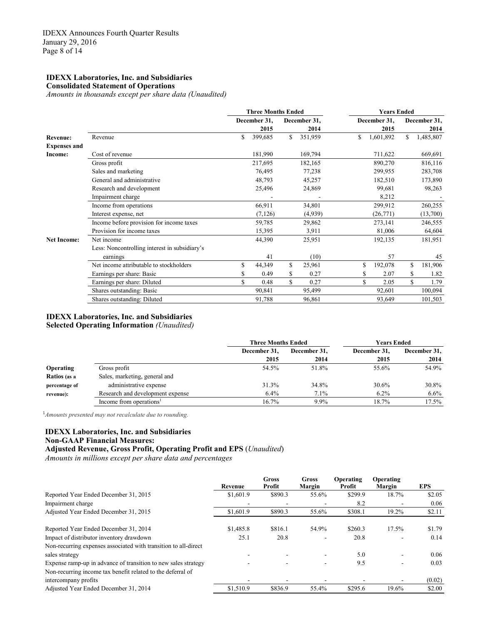#### **IDEXX Laboratories, Inc. and Subsidiaries Consolidated Statement of Operations**

*Amounts in thousands except per share data (Unaudited)*

|                     |                                               | <b>Three Months Ended</b> |              |    |              | <b>Years Ended</b> |              |    |              |  |
|---------------------|-----------------------------------------------|---------------------------|--------------|----|--------------|--------------------|--------------|----|--------------|--|
|                     |                                               |                           | December 31, |    | December 31, |                    | December 31, |    | December 31, |  |
|                     |                                               |                           | 2015         |    | 2014         |                    | 2015         |    | 2014         |  |
| <b>Revenue:</b>     | Revenue                                       | S.                        | 399,685      | S. | 351,959      | S.                 | 1,601,892    | S. | 1,485,807    |  |
| <b>Expenses and</b> |                                               |                           |              |    |              |                    |              |    |              |  |
| Income:             | Cost of revenue                               |                           | 181,990      |    | 169,794      |                    | 711,622      |    | 669,691      |  |
|                     | Gross profit                                  |                           | 217,695      |    | 182,165      |                    | 890,270      |    | 816,116      |  |
|                     | Sales and marketing                           |                           | 76,495       |    | 77,238       |                    | 299,955      |    | 283,708      |  |
|                     | General and administrative                    |                           | 48,793       |    | 45,257       |                    | 182,510      |    | 173,890      |  |
|                     | Research and development                      |                           | 25,496       |    | 24,869       |                    | 99,681       |    | 98,263       |  |
|                     | Impairment charge                             |                           |              |    |              |                    | 8,212        |    |              |  |
|                     | Income from operations                        |                           | 66,911       |    | 34,801       |                    | 299,912      |    | 260,255      |  |
|                     | Interest expense, net                         |                           | (7, 126)     |    | (4,939)      |                    | (26,771)     |    | (13,700)     |  |
|                     | Income before provision for income taxes      |                           | 59,785       |    | 29,862       |                    | 273,141      |    | 246,555      |  |
|                     | Provision for income taxes                    |                           | 15,395       |    | 3,911        |                    | 81,006       |    | 64,604       |  |
| <b>Net Income:</b>  | Net income                                    |                           | 44,390       |    | 25,951       |                    | 192,135      |    | 181,951      |  |
|                     | Less: Noncontrolling interest in subsidiary's |                           |              |    |              |                    |              |    |              |  |
|                     | earnings                                      |                           | 41           |    | (10)         |                    | 57           |    | 45           |  |
|                     | Net income attributable to stockholders       | \$                        | 44,349       | \$ | 25,961       | S                  | 192,078      | S  | 181,906      |  |
|                     | Earnings per share: Basic                     |                           | 0.49         | \$ | 0.27         |                    | 2.07         |    | 1.82         |  |
|                     | Earnings per share: Diluted                   | \$                        | 0.48         | \$ | 0.27         |                    | \$<br>2.05   | \$ | 1.79         |  |
|                     | Shares outstanding: Basic                     |                           | 90,841       |    | 95,499       |                    | 92,601       |    | 100,094      |  |
|                     | Shares outstanding: Diluted                   |                           | 91,788       |    | 96,861       |                    | 93,649       |    | 101,503      |  |

#### **IDEXX Laboratories, Inc. and Subsidiaries**

**Selected Operating Information** *(Unaudited)*

|                  |                                  | <b>Three Months Ended</b> |              | <b>Years Ended</b> |              |  |
|------------------|----------------------------------|---------------------------|--------------|--------------------|--------------|--|
|                  |                                  | December 31,              | December 31. | December 31,       | December 31, |  |
|                  |                                  | 2015                      | 2014         | 2015               | 2014         |  |
| <b>Operating</b> | Gross profit                     | 54.5%                     | 51.8%        | 55.6%              | 54.9%        |  |
| Ratios (as a     | Sales, marketing, general and    |                           |              |                    |              |  |
| percentage of    | administrative expense           | 31.3%                     | 34.8%        | 30.6%              | 30.8%        |  |
| revenue):        | Research and development expense | 6.4%                      | 7.1%         | $6.2\%$            | $6.6\%$      |  |
|                  | Income from operations'          | 16.7%                     | 9.9%         | 18.7%              | $17.5\%$     |  |

1 *Amounts presented may not recalculate due to rounding.* 

## **IDEXX Laboratories, Inc. and Subsidiaries**

**Non-GAAP Financial Measures:**

**Adjusted Revenue, Gross Profit, Operating Profit and EPS** (*Unaudited*)

*Amounts in millions except per share data and percentages*

|                                                                 | Revenue   | Gross<br>Profit | Gross<br>Margin | Operating<br>Profit | Operating<br>Margin | <b>EPS</b> |
|-----------------------------------------------------------------|-----------|-----------------|-----------------|---------------------|---------------------|------------|
| Reported Year Ended December 31, 2015                           | \$1,601.9 | \$890.3         | 55.6%           | \$299.9             | 18.7%               | \$2.05     |
| Impairment charge                                               |           |                 |                 | 8.2                 |                     | 0.06       |
| Adjusted Year Ended December 31, 2015                           | \$1,601.9 | \$890.3         | 55.6%           | \$308.1             | 19.2%               | \$2.11     |
| Reported Year Ended December 31, 2014                           | \$1,485.8 | \$816.1         | 54.9%           | \$260.3             | 17.5%               | \$1.79     |
| Impact of distributor inventory drawdown                        | 25.1      | 20.8            |                 | 20.8                |                     | 0.14       |
| Non-recurring expenses associated with transition to all-direct |           |                 |                 |                     |                     |            |
| sales strategy                                                  |           |                 | ۰               | 5.0                 |                     | 0.06       |
| Expense ramp-up in advance of transition to new sales strategy  |           |                 |                 | 9.5                 |                     | 0.03       |
| Non-recurring income tax benefit related to the deferral of     |           |                 |                 |                     |                     |            |
| intercompany profits                                            |           |                 |                 |                     |                     | (0.02)     |
| Adjusted Year Ended December 31, 2014                           | \$1,510.9 | \$836.9         | 55.4%           | \$295.6             | 19.6%               | \$2.00     |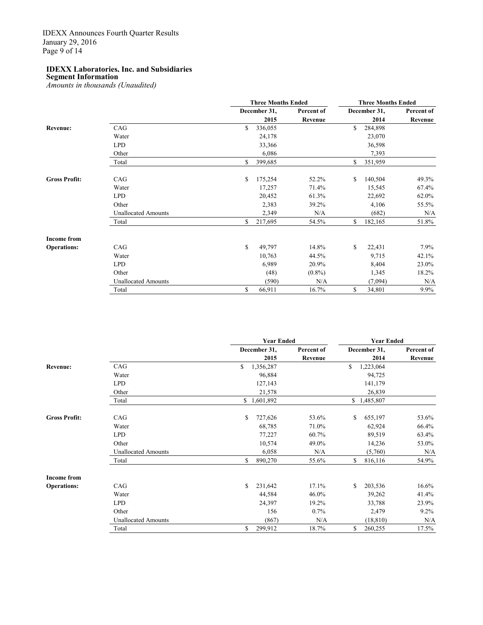**Segment Information** *Amounts in thousands (Unaudited)*

|                      |                            | <b>Three Months Ended</b> |            |    | <b>Three Months Ended</b> |            |  |  |
|----------------------|----------------------------|---------------------------|------------|----|---------------------------|------------|--|--|
|                      |                            | December 31,              | Percent of |    | December 31,              | Percent of |  |  |
|                      |                            | 2015                      | Revenue    |    | 2014                      | Revenue    |  |  |
| Revenue:             | CAG                        | \$<br>336,055             |            | \$ | 284,898                   |            |  |  |
|                      | Water                      | 24,178                    |            |    | 23,070                    |            |  |  |
|                      | <b>LPD</b>                 | 33,366                    |            |    | 36,598                    |            |  |  |
|                      | Other                      | 6,086                     |            |    | 7,393                     |            |  |  |
|                      | Total                      | \$<br>399,685             |            | \$ | 351,959                   |            |  |  |
| <b>Gross Profit:</b> | CAG                        | \$<br>175,254             | 52.2%      | \$ | 140,504                   | 49.3%      |  |  |
|                      | Water                      | 17,257                    | 71.4%      |    | 15,545                    | 67.4%      |  |  |
|                      | <b>LPD</b>                 | 20,452                    | 61.3%      |    | 22,692                    | 62.0%      |  |  |
|                      | Other                      | 2,383                     | 39.2%      |    | 4,106                     | 55.5%      |  |  |
|                      | <b>Unallocated Amounts</b> | 2,349                     | N/A        |    | (682)                     | N/A        |  |  |
|                      | Total                      | \$<br>217,695             | 54.5%      | \$ | 182,165                   | 51.8%      |  |  |
| <b>Income from</b>   |                            |                           |            |    |                           |            |  |  |
| <b>Operations:</b>   | CAG                        | \$<br>49,797              | 14.8%      | \$ | 22,431                    | $7.9\%$    |  |  |
|                      | Water                      | 10,763                    | 44.5%      |    | 9,715                     | 42.1%      |  |  |
|                      | <b>LPD</b>                 | 6,989                     | 20.9%      |    | 8,404                     | 23.0%      |  |  |
|                      | Other                      | (48)                      | $(0.8\%)$  |    | 1,345                     | 18.2%      |  |  |
|                      | <b>Unallocated Amounts</b> | (590)                     | N/A        |    | (7,094)                   | N/A        |  |  |
|                      | Total                      | \$<br>66,911              | 16.7%      | \$ | 34,801                    | $9.9\%$    |  |  |

|                      |                            | <b>Year Ended</b> |              |            | <b>Year Ended</b> |              |            |
|----------------------|----------------------------|-------------------|--------------|------------|-------------------|--------------|------------|
|                      |                            |                   | December 31, | Percent of |                   | December 31, | Percent of |
|                      |                            |                   | 2015         | Revenue    |                   | 2014         | Revenue    |
| <b>Revenue:</b>      | CAG                        | \$                | 1,356,287    |            | \$                | 1,223,064    |            |
|                      | Water                      |                   | 96,884       |            |                   | 94,725       |            |
|                      | <b>LPD</b>                 |                   | 127,143      |            |                   | 141,179      |            |
|                      | Other                      |                   | 21,578       |            |                   | 26,839       |            |
|                      | Total                      |                   | \$1,601,892  |            |                   | \$1,485,807  |            |
| <b>Gross Profit:</b> | CAG                        | \$                | 727,626      | 53.6%      | \$                | 655,197      | 53.6%      |
|                      | Water                      |                   | 68,785       | 71.0%      |                   | 62,924       | 66.4%      |
|                      | <b>LPD</b>                 |                   | 77,227       | 60.7%      |                   | 89,519       | 63.4%      |
|                      | Other                      |                   | 10,574       | 49.0%      |                   | 14,236       | 53.0%      |
|                      | <b>Unallocated Amounts</b> |                   | 6,058        | N/A        |                   | (5,760)      | N/A        |
|                      | Total                      | S                 | 890,270      | 55.6%      | S.                | 816,116      | 54.9%      |
| <b>Income from</b>   |                            |                   |              |            |                   |              |            |
| <b>Operations:</b>   | CAG                        | \$                | 231,642      | 17.1%      | \$                | 203,536      | 16.6%      |
|                      | Water                      |                   | 44,584       | 46.0%      |                   | 39,262       | 41.4%      |
|                      | <b>LPD</b>                 |                   | 24,397       | 19.2%      |                   | 33,788       | 23.9%      |
|                      | Other                      |                   | 156          | 0.7%       |                   | 2,479        | $9.2\%$    |
|                      | <b>Unallocated Amounts</b> |                   | (867)        | N/A        |                   | (18, 810)    | N/A        |
|                      | Total                      | \$                | 299,912      | 18.7%      | \$                | 260,255      | 17.5%      |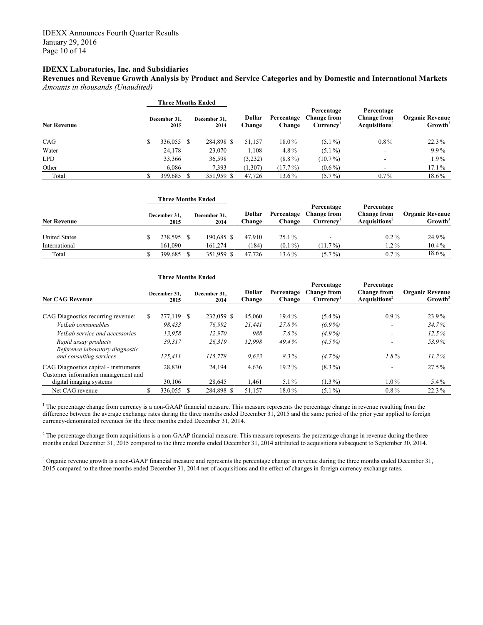**Revenues and Revenue Growth Analysis by Product and Service Categories and by Domestic and International Markets** *Amounts in thousands (Unaudited)*

|                    | Three Months Ended   |                      |                  |                      |                                              |                                                               |                                               |  |
|--------------------|----------------------|----------------------|------------------|----------------------|----------------------------------------------|---------------------------------------------------------------|-----------------------------------------------|--|
| <b>Net Revenue</b> | December 31.<br>2015 | December 31.<br>2014 | Dollar<br>Change | Percentage<br>Change | Percentage<br><b>Change from</b><br>Currency | Percentage<br><b>Change from</b><br>Acquisitions <sup>2</sup> | <b>Organic Revenue</b><br>Growth <sup>3</sup> |  |
| CAG                | 336,055 \$           | 284,898 \$           | 51.157           | 18.0%                | $(5.1\%)$                                    | $0.8\%$                                                       | $22.3\%$                                      |  |
| Water              | 24,178               | 23,070               | 1.108            | 4.8%                 | $(5.1\%)$                                    | $\overline{\phantom{a}}$                                      | 9.9%                                          |  |
| <b>LPD</b>         | 33,366               | 36,598               | (3,232)          | $(8.8\%)$            | $(10.7\%)$                                   | $\overline{\phantom{a}}$                                      | $1.9\%$                                       |  |
| Other              | 6.086                | 7.393                | (1,307)          | $(17.7\%)$           | $(0.6\%)$                                    | $\overline{\phantom{a}}$                                      | $17.1\%$                                      |  |
| Total              | 399,685              | 351,959 \$           | 47.726           | 13.6%                | $(5.7\%)$                                    | $0.7\%$                                                       | 18.6%                                         |  |

|                      |                      | <b>Three Months Ended</b> |                  |                      |                                              |                                                               |                                               |  |
|----------------------|----------------------|---------------------------|------------------|----------------------|----------------------------------------------|---------------------------------------------------------------|-----------------------------------------------|--|
| <b>Net Revenue</b>   | December 31,<br>2015 | December 31,<br>2014      | Dollar<br>Change | Percentage<br>Change | Percentage<br><b>Change from</b><br>Currencv | Percentage<br><b>Change from</b><br>Acquisitions <sup>2</sup> | <b>Organic Revenue</b><br>Growth <sup>3</sup> |  |
| <b>United States</b> | 238,595 \$           | 190.685 \$                | 47.910           | $25.1\%$             |                                              | $0.2\%$                                                       | 24.9%                                         |  |
| International        | 161.090              | 161.274                   | (184)            | $(0.1\%)$            | $(11.7\%)$                                   | $1.2\%$                                                       | $10.4\%$                                      |  |
| Total                | 399,685 \$           | 351.959 \$                | 47.726           | 13.6%                | $(5.7\%)$                                    | $0.7\%$                                                       | $18.6\%$                                      |  |

|                                                                              |  | <b>Three Months Ended</b> |  |                      |                  |                      |                                                           |                                                               |                                               |
|------------------------------------------------------------------------------|--|---------------------------|--|----------------------|------------------|----------------------|-----------------------------------------------------------|---------------------------------------------------------------|-----------------------------------------------|
| <b>Net CAG Revenue</b>                                                       |  | December 31,<br>2015      |  | December 31.<br>2014 | Dollar<br>Change | Percentage<br>Change | Percentage<br><b>Change from</b><br>Currency <sup>1</sup> | Percentage<br><b>Change from</b><br>Acquisitions <sup>2</sup> | <b>Organic Revenue</b><br>Growth <sup>3</sup> |
| CAG Diagnostics recurring revenue:                                           |  | 277,119 \$                |  | 232,059 \$           | 45,060           | 19.4%                | $(5.4\%)$                                                 | $0.9\%$                                                       | 23.9%                                         |
| VetLab consumables                                                           |  | 98.433                    |  | 76.992               | 21.441           | 27.8%                | $(6.9\%)$                                                 | $\overline{\phantom{a}}$                                      | 34.7%                                         |
| VetLab service and accessories                                               |  | 13.958                    |  | 12.970               | 988              | $7.6\%$              | $(4.9\%)$                                                 | $\overline{\phantom{a}}$                                      | 12.5%                                         |
| Rapid assay products<br>Reference laboratory diagnostic                      |  | 39.317                    |  | 26.319               | 12.998           | 49.4%                | $(4.5\%)$                                                 | -                                                             | 53.9%                                         |
| and consulting services                                                      |  | 125,411                   |  | 115,778              | 9,633            | 8.3%                 | $(4.7\%)$                                                 | $1.8\%$                                                       | 11.2%                                         |
| CAG Diagnostics capital - instruments<br>Customer information management and |  | 28.830                    |  | 24,194               | 4,636            | 19.2%                | $(8.3\%)$                                                 | ۰                                                             | $27.5\%$                                      |
| digital imaging systems                                                      |  | 30.106                    |  | 28,645               | 1,461            | $5.1\%$              | $(1.3\%)$                                                 | $1.0\%$                                                       | $5.4\%$                                       |
| Net CAG revenue                                                              |  | 336.055 \$                |  | 284.898 \$           | 51.157           | 18.0%                | $(5.1\%)$                                                 | $0.8\%$                                                       | 22.3%                                         |

<sup>1</sup> The percentage change from currency is a non-GAAP financial measure. This measure represents the percentage change in revenue resulting from the difference between the average exchange rates during the three months ended December 31, 2015 and the same period of the prior year applied to foreign currency-denominated revenues for the three months ended December 31, 2014.

<sup>2</sup> The percentage change from acquisitions is a non-GAAP financial measure. This measure represents the percentage change in revenue during the three months ended December 31, 2015 compared to the three months ended December 31, 2014 attributed to acquisitions subsequent to September 30, 2014.

<sup>3</sup> Organic revenue growth is a non-GAAP financial measure and represents the percentage change in revenue during the three months ended December 31, 2015 compared to the three months ended December 31, 2014 net of acquisitions and the effect of changes in foreign currency exchange rates.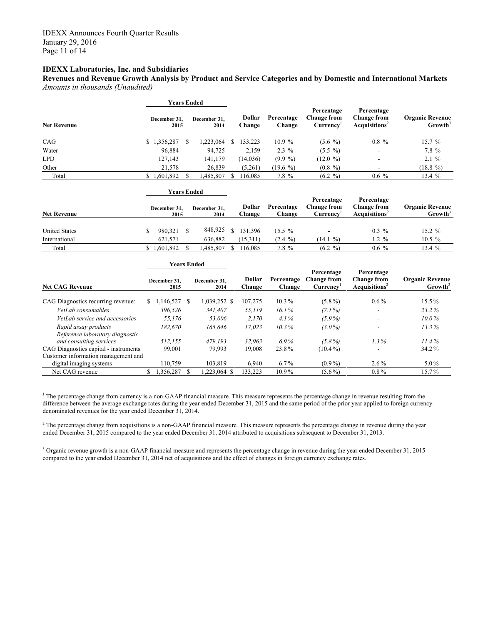**Revenues and Revenue Growth Analysis by Product and Service Categories and by Domestic and International Markets** *Amounts in thousands (Unaudited)*

|                    | Years Ended          |                      |                  |                      |                                                     |                                                               | <b>Organic Revenue</b><br>Growth <sup>3</sup> |  |
|--------------------|----------------------|----------------------|------------------|----------------------|-----------------------------------------------------|---------------------------------------------------------------|-----------------------------------------------|--|
| <b>Net Revenue</b> | December 31.<br>2015 | December 31,<br>2014 | Dollar<br>Change | Percentage<br>Change | Percentage<br><b>Change from</b><br><b>Currency</b> | Percentage<br><b>Change from</b><br>Acquisitions <sup>2</sup> |                                               |  |
| CAG                | \$1,356,287          | 1,223,064            | 33,223           | 10.9%                | $(5.6\%)$                                           | $0.8 \%$                                                      | $15.7 \%$                                     |  |
| Water              | 96,884               | 94,725               | 2,159            | $2.3\%$              | $(5.5 \%)$                                          | -                                                             | 7.8 %                                         |  |
| <b>LPD</b>         | 127,143              | 141,179              | (14,036)         | $(9.9\%)$            | (12.0 %)                                            | -                                                             | $2.1 \%$                                      |  |
| Other              | 21,578               | 26,839               | (5,261)          | $(19.6\%$            | $(0.8 \%)$                                          |                                                               | $(18.8\%)$                                    |  |
| Total              | \$1,601,892          | 1,485,807            | 116.085          | 7.8 %                | (6.2 %)                                             | $0.6\%$                                                       | 13.4%                                         |  |

|                      | Years Ended          |                      |                  |                      |                                       |                                                              |                                               |
|----------------------|----------------------|----------------------|------------------|----------------------|---------------------------------------|--------------------------------------------------------------|-----------------------------------------------|
| <b>Net Revenue</b>   | December 31,<br>2015 | December 31.<br>2014 | Dollar<br>Change | Percentage<br>Change | Percentage<br>Change from<br>Currencv | Percentage<br><b>Change from</b><br>Acquistions <sup>2</sup> | <b>Organic Revenue</b><br>Growth <sup>3</sup> |
| <b>United States</b> | 980,321              | 848,925              | 131.396          | $15.5\%$             |                                       | $0.3\%$                                                      | $15.2 \%$                                     |
| International        | 621.571              | 636.882              | (15,311)         | $(2.4 \%)$           | $(14.1\% )$                           | $1.2 \%$                                                     | $10.5 \%$                                     |
| Total                | 1,601,892            | ,485,807             | 16.085           | 7.8 %                | $(6.2 \%)$                            | $0.6\%$                                                      | 13.4%                                         |

|                                                                | <b>Years Ended</b> |                      |  |                      |                  |                      |                                                           |                                                              |                                               |  |
|----------------------------------------------------------------|--------------------|----------------------|--|----------------------|------------------|----------------------|-----------------------------------------------------------|--------------------------------------------------------------|-----------------------------------------------|--|
| <b>Net CAG Revenue</b>                                         |                    | December 31.<br>2015 |  | December 31.<br>2014 | Dollar<br>Change | Percentage<br>Change | Percentage<br><b>Change from</b><br>Currence <sup>T</sup> | Percentage<br><b>Change from</b><br>Acquistions <sup>2</sup> | <b>Organic Revenue</b><br>Growth <sup>3</sup> |  |
| CAG Diagnostics recurring revenue:                             | S.                 | $.146,527$ \$        |  | 1,039,252 \$         | 107,275          | $10.3\%$             | $(5.8\%)$                                                 | $0.6\%$                                                      | $15.5\%$                                      |  |
| VetLab consumables                                             |                    | 396.526              |  | 341.407              | 55,119           | $16.1\%$             | $(7.1\%)$                                                 | ۰                                                            | $23.2\%$                                      |  |
| VetLab service and accessories                                 |                    | 55.176               |  | 53.006               | 2,170            | $4.1\%$              | $(5.9\%)$                                                 | $\overline{\phantom{a}}$                                     | $10.0\%$                                      |  |
| Rapid assay products<br>Reference laboratory diagnostic        |                    | 182.670              |  | 165.646              | 17,023           | $10.3\%$             | $(3.0\%)$                                                 | ۰                                                            | 13.3%                                         |  |
| and consulting services                                        |                    | 512.155              |  | 479.193              | 32.963           | $6.9\%$              | $(5.8\%)$                                                 | $1.3\%$                                                      | 11.4%                                         |  |
| CAG Diagnostics capital - instruments                          |                    | 99,001               |  | 79.993               | 19,008           | 23.8%                | $(10.4\%)$                                                |                                                              | 34.2%                                         |  |
| Customer information management and<br>digital imaging systems |                    | 110.759              |  | 103.819              | 6,940            | $6.7\%$              | $(0.9\%)$                                                 | $2.6\%$                                                      | $5.0\%$                                       |  |
| Net CAG revenue                                                |                    | 1,356,287            |  | $.223.064$ \$        | 133.223          | $10.9\%$             | $(5.6\%)$                                                 | $0.8\%$                                                      | 15.7%                                         |  |

 $1$  The percentage change from currency is a non-GAAP financial measure. This measure represents the percentage change in revenue resulting from the difference between the average exchange rates during the year ended December 31, 2015 and the same period of the prior year applied to foreign currency-<br>difference between the average exchange rates during the year ended D denominated revenues for the year ended December 31, 2014.

<sup>2</sup> The percentage change from acquisitions is a non-GAAP financial measure. This measure represents the percentage change in revenue during the year ended December 31, 2015 compared to the year ended December 31, 2014 attributed to acquisitions subsequent to December 31, 2013.

<sup>3</sup> Organic revenue growth is a non-GAAP financial measure and represents the percentage change in revenue during the year ended December 31, 2015 compared to the year ended December 31, 2014 net of acquisitions and the effect of changes in foreign currency exchange rates.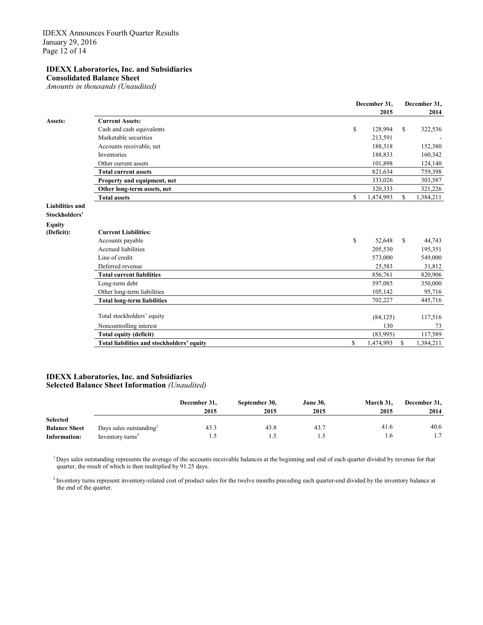**Consolidated Balance Sheet**

*Amounts in thousands (Unaudited)*

|                        |                                            | December 31,    |               | December 31, |
|------------------------|--------------------------------------------|-----------------|---------------|--------------|
|                        |                                            | 2015            |               | 2014         |
| Assets:                | <b>Current Assets:</b>                     |                 |               |              |
|                        | Cash and cash equivalents                  | \$<br>128,994   | <sup>\$</sup> | 322,536      |
|                        | Marketable securities                      | 213,591         |               |              |
|                        | Accounts receivable, net                   | 188,318         |               | 152,380      |
|                        | Inventories                                | 188,833         |               | 160,342      |
|                        | Other current assets                       | 101,898         |               | 124,140      |
|                        | <b>Total current assets</b>                | 821,634         |               | 759,398      |
|                        | Property and equipment, net                | 333,026         |               | 303,587      |
|                        | Other long-term assets, net                | 320,333         |               | 321,226      |
|                        | <b>Total assets</b>                        | \$<br>1,474,993 | S             | 1,384,211    |
| <b>Liabilities and</b> |                                            |                 |               |              |
| Stockholders'          |                                            |                 |               |              |
| <b>Equity</b>          |                                            |                 |               |              |
| (Deficit):             | <b>Current Liabilities:</b>                |                 |               |              |
|                        | Accounts payable                           | \$<br>52,648    | <sup>\$</sup> | 44,743       |
|                        | Accrued liabilities                        | 205,530         |               | 195,351      |
|                        | Line of credit                             | 573,000         |               | 549,000      |
|                        | Deferred revenue                           | 25,583          |               | 31,812       |
|                        | <b>Total current liabilities</b>           | 856,761         |               | 820,906      |
|                        | Long-term debt                             | 597,085         |               | 350,000      |
|                        | Other long-term liabilities                | 105,142         |               | 95,716       |
|                        | Total long-term liabilities                | 702,227         |               | 445,716      |
|                        |                                            |                 |               |              |
|                        | Total stockholders' equity                 | (84, 125)       |               | 117,516      |
|                        | Noncontrolling interest                    | 130             |               | 73           |
|                        | Total equity (deficit)                     | (83,995)        |               | 117,589      |
|                        | Total liabilities and stockholders' equity | \$<br>1,474,993 | S             | 1,384,211    |
|                        |                                            |                 |               |              |

#### **IDEXX Laboratories, Inc. and Subsidiaries Selected Balance Sheet Information** *(Unaudited)*

|                      |                              | December 31, | September 30, | <b>June 30,</b> | March 31. | December 31, |
|----------------------|------------------------------|--------------|---------------|-----------------|-----------|--------------|
|                      |                              | 2015         | 2015          | 2015            | 2015      | 2014         |
| <b>Selected</b>      |                              |              |               |                 |           |              |
| <b>Balance Sheet</b> | Days sales outstanding       | 43.3         | 43.8          | 43.7            | 41.6      | 40.6         |
| Information:         | Inventory turns <sup>2</sup> |              |               |                 | 1.6       |              |

<sup>1</sup> Days sales outstanding represents the average of the accounts receivable balances at the beginning and end of each quarter divided by revenue for that quarter, the result of which is then multiplied by 91.25 days.

<sup>2</sup> Inventory turns represent inventory-related cost of product sales for the twelve months preceding each quarter-end divided by the inventory balance at the end of the quarter.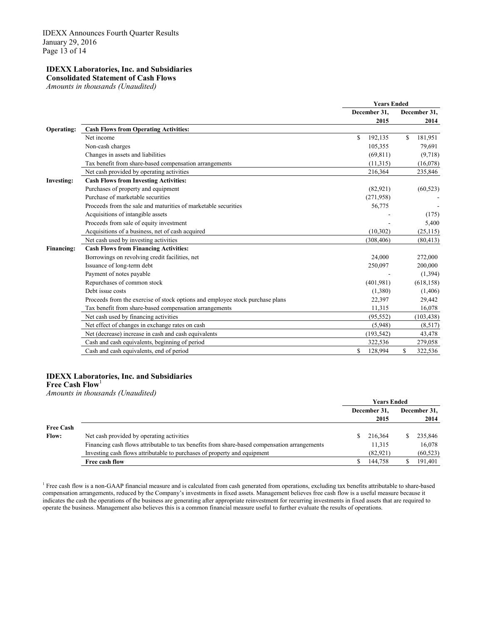**Consolidated Statement of Cash Flows** 

*Amounts in thousands (Unaudited)*

|                   |                                                                               | <b>Years Ended</b> |                |
|-------------------|-------------------------------------------------------------------------------|--------------------|----------------|
|                   |                                                                               | December 31,       | December 31,   |
|                   |                                                                               | 2015               | 2014           |
| <b>Operating:</b> | <b>Cash Flows from Operating Activities:</b>                                  |                    |                |
|                   | Net income                                                                    | \$.<br>192,135     | \$.<br>181,951 |
|                   | Non-cash charges                                                              | 105,355            | 79,691         |
|                   | Changes in assets and liabilities                                             | (69, 811)          | (9,718)        |
|                   | Tax benefit from share-based compensation arrangements                        | (11,315)           | (16,078)       |
|                   | Net cash provided by operating activities                                     | 216,364            | 235,846        |
| <b>Investing:</b> | <b>Cash Flows from Investing Activities:</b>                                  |                    |                |
|                   | Purchases of property and equipment                                           | (82,921)           | (60, 523)      |
|                   | Purchase of marketable securities                                             | (271,958)          |                |
|                   | Proceeds from the sale and maturities of marketable securities                | 56,775             |                |
|                   | Acquisitions of intangible assets                                             |                    | (175)          |
|                   | Proceeds from sale of equity investment                                       |                    | 5,400          |
|                   | Acquisitions of a business, net of cash acquired                              | (10,302)           | (25, 115)      |
|                   | Net cash used by investing activities                                         | (308, 406)         | (80, 413)      |
| <b>Financing:</b> | <b>Cash Flows from Financing Activities:</b>                                  |                    |                |
|                   | Borrowings on revolving credit facilities, net                                | 24,000             | 272,000        |
|                   | Issuance of long-term debt                                                    | 250,097            | 200,000        |
|                   | Payment of notes payable                                                      |                    | (1, 394)       |
|                   | Repurchases of common stock                                                   | (401,981)          | (618, 158)     |
|                   | Debt issue costs                                                              | (1,380)            | (1,406)        |
|                   | Proceeds from the exercise of stock options and employee stock purchase plans | 22,397             | 29,442         |
|                   | Tax benefit from share-based compensation arrangements                        | 11,315             | 16,078         |
|                   | Net cash used by financing activities                                         | (95, 552)          | (103, 438)     |
|                   | Net effect of changes in exchange rates on cash                               | (5,948)            | (8,517)        |
|                   | Net (decrease) increase in cash and cash equivalents                          | (193, 542)         | 43,478         |
|                   | Cash and cash equivalents, beginning of period                                | 322,536            | 279,058        |
|                   | Cash and cash equivalents, end of period                                      | \$<br>128,994      | \$<br>322,536  |

#### **IDEXX Laboratories, Inc. and Subsidiaries Free Cash Flow**<sup>1</sup>

*Amounts in thousands (Unaudited)*

|                  |                                                                                              | <b>Years Ended</b> |                      |  |                      |
|------------------|----------------------------------------------------------------------------------------------|--------------------|----------------------|--|----------------------|
|                  |                                                                                              |                    | December 31.<br>2015 |  | December 31.<br>2014 |
| <b>Free Cash</b> |                                                                                              |                    |                      |  |                      |
| <b>Flow:</b>     | Net cash provided by operating activities                                                    |                    | 216.364              |  | 235,846              |
|                  | Financing cash flows attributable to tax benefits from share-based compensation arrangements |                    | 11,315               |  | 16,078               |
|                  | Investing cash flows attributable to purchases of property and equipment                     |                    | (82,921)             |  | (60, 523)            |
|                  | Free cash flow                                                                               |                    | 144,758              |  | 191,401              |

<sup>1</sup> Free cash flow is a non-GAAP financial measure and is calculated from cash generated from operations, excluding tax benefits attributable to share-based compensation arrangements, reduced by the Company's investments in fixed assets. Management believes free cash flow is a useful measure because it indicates the cash the operations of the business are generating after appropriate reinvestment for recurring investments in fixed assets that are required to operate the business. Management also believes this is a common financial measure useful to further evaluate the results of operations.